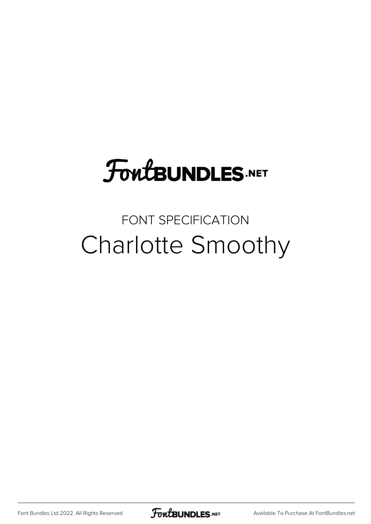#### **FoutBUNDLES.NET**

#### FONT SPECIFICATION Charlotte Smoothy

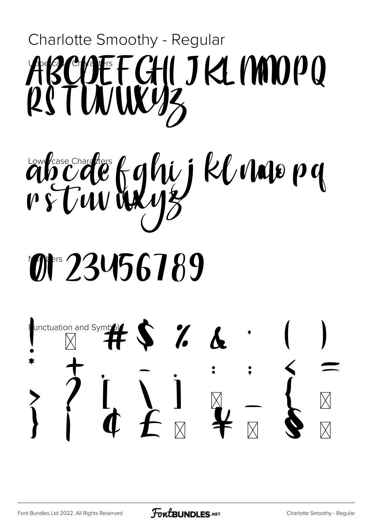### Charlotte Smoothy - Regular BEFGHIJKLIMOPO RSTUVUKY3

# abcdeforghij kluwe py

## Mars 23456789



**FoutBUNDLES**.NET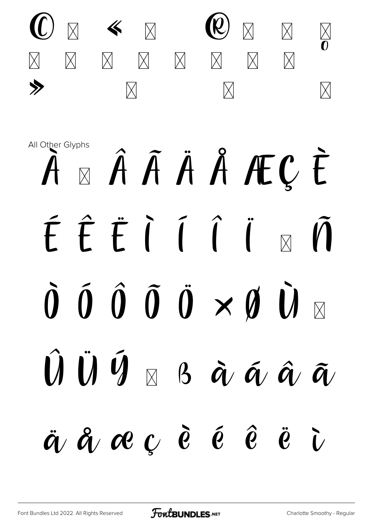

## All Other Glyphs À A Â Â Ä Å ÆÇ È ÉÊËIÍÎÏ  $\overline{M}$  $\hat{0}$   $\hat{0}$   $\hat{0}$   $\hat{0}$   $\times$   $\hat{0}$   $\hat{U}$  $\hat{U}$   $\hat{U}$   $\hat{V}$   $\hat{V}$   $\hat{B}$   $\hat{\alpha}$   $\hat{\alpha}$   $\hat{\alpha}$   $\hat{\alpha}$  $\ddot{a}$   $\ddot{a}$   $\alpha$   $\ddot{c}$   $\ddot{e}$   $\ddot{e}$   $\ddot{c}$   $\ddot{c}$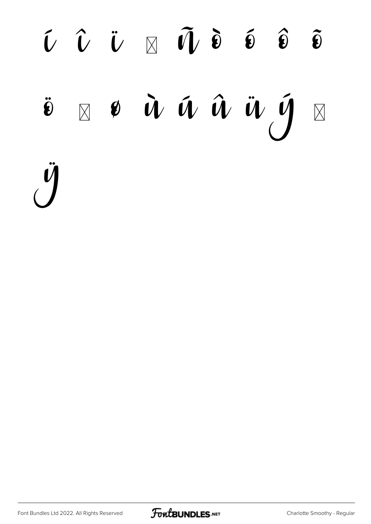# $\hat{U}$   $\hat{U}$   $\hat{U}$   $\hat{O}$   $\hat{U}$   $\hat{V}$   $\hat{O}$   $\hat{O}$   $\hat{O}$   $\hat{O}$  $\ddot{\boldsymbol{v}} = \boldsymbol{v} \dot{\boldsymbol{w}} \dot{\boldsymbol{w}} \hat{\boldsymbol{w}} \dot{\boldsymbol{w}} \dot{\boldsymbol{y}} \boldsymbol{p}$ ÿ

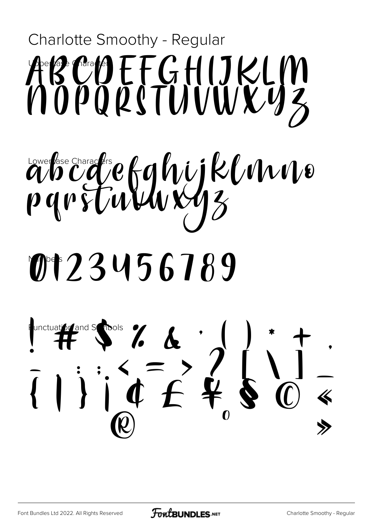# Charlotte Smoothy - Regular ABCOFFGHUKLM ähcdefungen handle M+23456789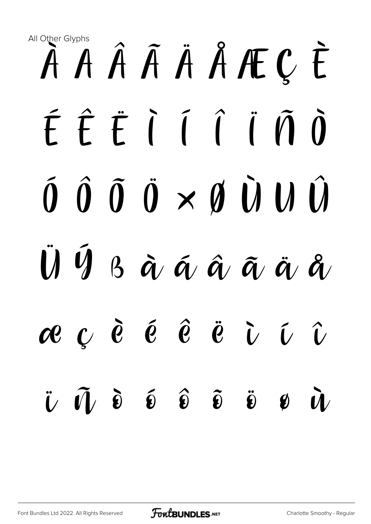## All Other Glyphs À Á Â Ã Ä Å Æ Ç È É Ê Ë Ì Í Î Ï Ñ Ò Ó Ô Õ Ö × Ø Ù Ú Û  $\ddot{\mathbf{U}}$   $\ddot{\mathbf{V}}$   $\ddot{\mathbf{S}}$   $\ddot{\mathbf{Q}}$   $\ddot{\mathbf{Q}}$   $\ddot{\mathbf{Q}}$   $\ddot{\mathbf{Q}}$   $\ddot{\mathbf{Q}}$ æ ç è é ê ë ì í î ï ñ ò ó ô õ ö ø ù